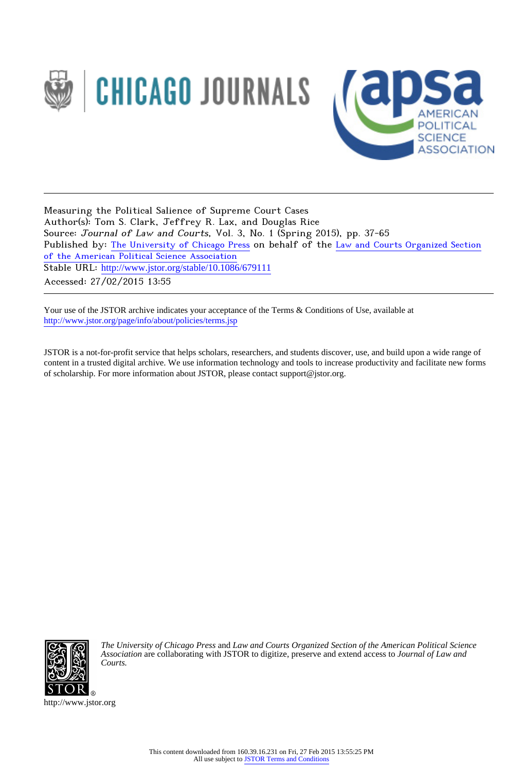



Measuring the Political Salience of Supreme Court Cases Author(s): Tom S. Clark, Jeffrey R. Lax, and Douglas Rice Source: Journal of Law and Courts, Vol. 3, No. 1 (Spring 2015), pp. 37-65 Published by: [The University of Chicago Press](http://www.jstor.org/action/showPublisher?publisherCode=ucpress) on behalf of the [Law and Courts Organized Section](http://www.jstor.org/action/showPublisher?publisherCode=lcosapsa) [of the American Political Science Association](http://www.jstor.org/action/showPublisher?publisherCode=lcosapsa) Stable URL: http://www.jstor.org/stable/10.1086/679111 Accessed: 27/02/2015 13:55

Your use of the JSTOR archive indicates your acceptance of the Terms & Conditions of Use, available at <http://www.jstor.org/page/info/about/policies/terms.jsp>

JSTOR is a not-for-profit service that helps scholars, researchers, and students discover, use, and build upon a wide range of content in a trusted digital archive. We use information technology and tools to increase productivity and facilitate new forms of scholarship. For more information about JSTOR, please contact support@jstor.org.



*The University of Chicago Press* and *Law and Courts Organized Section of the American Political Science Association* are collaborating with JSTOR to digitize, preserve and extend access to *Journal of Law and Courts.*

http://www.jstor.org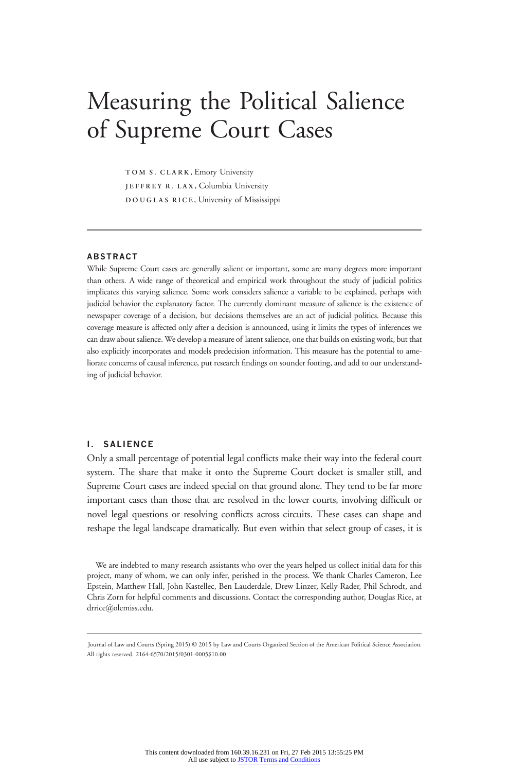# Measuring the Political Salience of Supreme Court Cases

TOM S. CLARK, Emory University JEFFREY R. LAX, Columbia University DOUGLAS RICE, University of Mississippi

#### ABSTRACT

While Supreme Court cases are generally salient or important, some are many degrees more important than others. A wide range of theoretical and empirical work throughout the study of judicial politics implicates this varying salience. Some work considers salience a variable to be explained, perhaps with judicial behavior the explanatory factor. The currently dominant measure of salience is the existence of newspaper coverage of a decision, but decisions themselves are an act of judicial politics. Because this coverage measure is affected only after a decision is announced, using it limits the types of inferences we can draw about salience. We develop a measure of latent salience, one that builds on existing work, but that also explicitly incorporates and models predecision information. This measure has the potential to ameliorate concerns of causal inference, put research findings on sounder footing, and add to our understanding of judicial behavior.

## I. SALIENCE

Only a small percentage of potential legal conflicts make their way into the federal court system. The share that make it onto the Supreme Court docket is smaller still, and Supreme Court cases are indeed special on that ground alone. They tend to be far more important cases than those that are resolved in the lower courts, involving difficult or novel legal questions or resolving conflicts across circuits. These cases can shape and reshape the legal landscape dramatically. But even within that select group of cases, it is

We are indebted to many research assistants who over the years helped us collect initial data for this project, many of whom, we can only infer, perished in the process. We thank Charles Cameron, Lee Epstein, Matthew Hall, John Kastellec, Ben Lauderdale, Drew Linzer, Kelly Rader, Phil Schrodt, and Chris Zorn for helpful comments and discussions. Contact the corresponding author, Douglas Rice, at drrice@olemiss.edu.

Journal of Law and Courts (Spring 2015) © 2015 by Law and Courts Organized Section of the American Political Science Association. All rights reserved. 2164-6570/2015/0301-0005\$10.00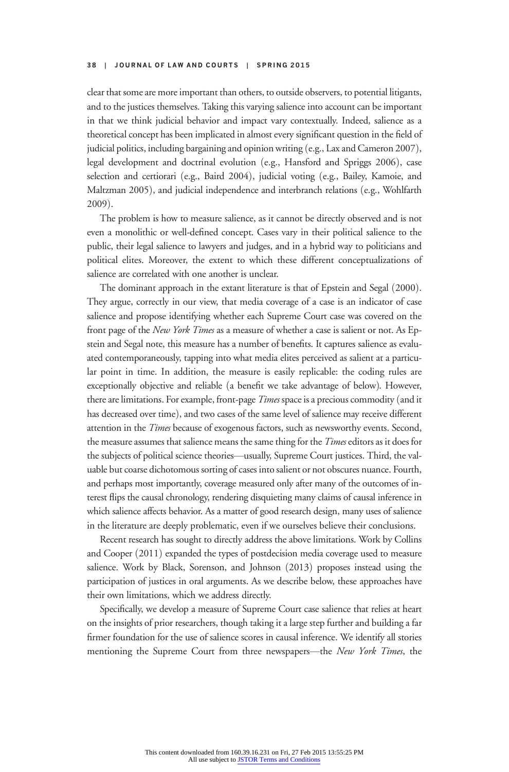clear that some are more important than others, to outside observers, to potential litigants, and to the justices themselves. Taking this varying salience into account can be important in that we think judicial behavior and impact vary contextually. Indeed, salience as a theoretical concept has been implicated in almost every significant question in the field of judicial politics, including bargaining and opinion writing (e.g., Lax and Cameron 2007), legal development and doctrinal evolution (e.g., Hansford and Spriggs 2006), case selection and certiorari (e.g., Baird 2004), judicial voting (e.g., Bailey, Kamoie, and Maltzman 2005), and judicial independence and interbranch relations (e.g., Wohlfarth  $2009$ ).

The problem is how to measure salience, as it cannot be directly observed and is not even a monolithic or well-defined concept. Cases vary in their political salience to the public, their legal salience to lawyers and judges, and in a hybrid way to politicians and political elites. Moreover, the extent to which these different conceptualizations of salience are correlated with one another is unclear.

The dominant approach in the extant literature is that of Epstein and Segal (2000). They argue, correctly in our view, that media coverage of a case is an indicator of case salience and propose identifying whether each Supreme Court case was covered on the front page of the New York Times as a measure of whether a case is salient or not. As Epstein and Segal note, this measure has a number of benefits. It captures salience as evaluated contemporaneously, tapping into what media elites perceived as salient at a particular point in time. In addition, the measure is easily replicable: the coding rules are exceptionally objective and reliable (a benefit we take advantage of below). However, there are limitations. For example, front-page  $Times$  space is a precious commodity (and it has decreased over time), and two cases of the same level of salience may receive different attention in the Times because of exogenous factors, such as newsworthy events. Second, the measure assumes that salience means the same thing for the *Times* editors as it does for the subjects of political science theories—usually, Supreme Court justices. Third, the valuable but coarse dichotomous sorting of cases into salient or not obscures nuance. Fourth, and perhaps most importantly, coverage measured only after many of the outcomes of interest flips the causal chronology, rendering disquieting many claims of causal inference in which salience affects behavior. As a matter of good research design, many uses of salience in the literature are deeply problematic, even if we ourselves believe their conclusions.

Recent research has sought to directly address the above limitations. Work by Collins and Cooper (2011) expanded the types of postdecision media coverage used to measure salience. Work by Black, Sorenson, and Johnson (2013) proposes instead using the participation of justices in oral arguments. As we describe below, these approaches have their own limitations, which we address directly.

Specifically, we develop a measure of Supreme Court case salience that relies at heart on the insights of prior researchers, though taking it a large step further and building a far firmer foundation for the use of salience scores in causal inference. We identify all stories mentioning the Supreme Court from three newspapers—the New York Times, the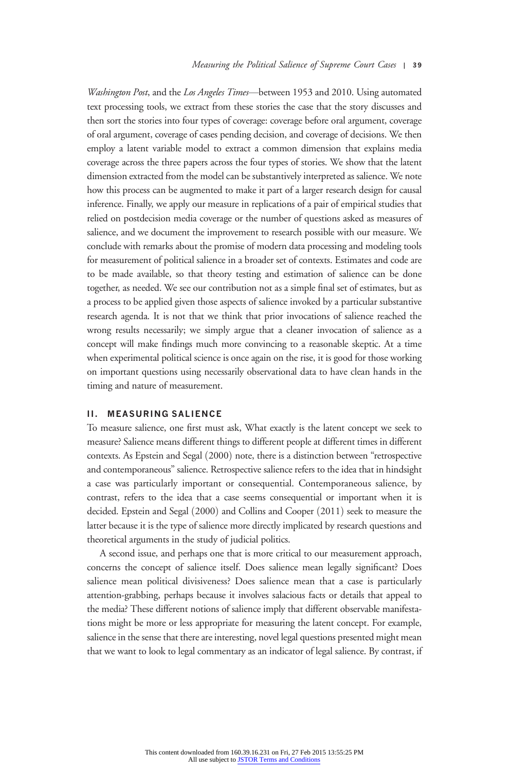Washington Post, and the Los Angeles Times—between 1953 and 2010. Using automated text processing tools, we extract from these stories the case that the story discusses and then sort the stories into four types of coverage: coverage before oral argument, coverage of oral argument, coverage of cases pending decision, and coverage of decisions. We then employ a latent variable model to extract a common dimension that explains media coverage across the three papers across the four types of stories. We show that the latent dimension extracted from the model can be substantively interpreted as salience. We note how this process can be augmented to make it part of a larger research design for causal inference. Finally, we apply our measure in replications of a pair of empirical studies that relied on postdecision media coverage or the number of questions asked as measures of salience, and we document the improvement to research possible with our measure. We conclude with remarks about the promise of modern data processing and modeling tools for measurement of political salience in a broader set of contexts. Estimates and code are to be made available, so that theory testing and estimation of salience can be done together, as needed. We see our contribution not as a simple final set of estimates, but as a process to be applied given those aspects of salience invoked by a particular substantive research agenda. It is not that we think that prior invocations of salience reached the wrong results necessarily; we simply argue that a cleaner invocation of salience as a concept will make findings much more convincing to a reasonable skeptic. At a time when experimental political science is once again on the rise, it is good for those working on important questions using necessarily observational data to have clean hands in the timing and nature of measurement.

#### II. MEASURING SALIENCE

To measure salience, one first must ask, What exactly is the latent concept we seek to measure? Salience means different things to different people at different times in different contexts. As Epstein and Segal (2000) note, there is a distinction between "retrospective and contemporaneous" salience. Retrospective salience refers to the idea that in hindsight a case was particularly important or consequential. Contemporaneous salience, by contrast, refers to the idea that a case seems consequential or important when it is decided. Epstein and Segal (2000) and Collins and Cooper (2011) seek to measure the latter because it is the type of salience more directly implicated by research questions and theoretical arguments in the study of judicial politics.

A second issue, and perhaps one that is more critical to our measurement approach, concerns the concept of salience itself. Does salience mean legally significant? Does salience mean political divisiveness? Does salience mean that a case is particularly attention-grabbing, perhaps because it involves salacious facts or details that appeal to the media? These different notions of salience imply that different observable manifestations might be more or less appropriate for measuring the latent concept. For example, salience in the sense that there are interesting, novel legal questions presented might mean that we want to look to legal commentary as an indicator of legal salience. By contrast, if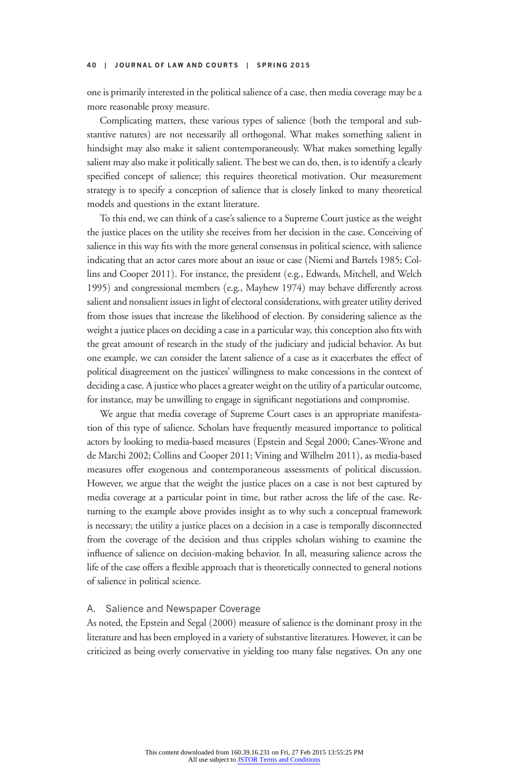one is primarily interested in the political salience of a case, then media coverage may be a more reasonable proxy measure.

Complicating matters, these various types of salience (both the temporal and substantive natures) are not necessarily all orthogonal. What makes something salient in hindsight may also make it salient contemporaneously. What makes something legally salient may also make it politically salient. The best we can do, then, is to identify a clearly specified concept of salience; this requires theoretical motivation. Our measurement strategy is to specify a conception of salience that is closely linked to many theoretical models and questions in the extant literature.

To this end, we can think of a case's salience to a Supreme Court justice as the weight the justice places on the utility she receives from her decision in the case. Conceiving of salience in this way fits with the more general consensus in political science, with salience indicating that an actor cares more about an issue or case (Niemi and Bartels 1985; Collins and Cooper 2011). For instance, the president (e.g., Edwards, Mitchell, and Welch 1995) and congressional members (e.g., Mayhew 1974) may behave differently across salient and nonsalient issues in light of electoral considerations, with greater utility derived from those issues that increase the likelihood of election. By considering salience as the weight a justice places on deciding a case in a particular way, this conception also fits with the great amount of research in the study of the judiciary and judicial behavior. As but one example, we can consider the latent salience of a case as it exacerbates the effect of political disagreement on the justices' willingness to make concessions in the context of deciding a case. A justice who places a greater weight on the utility of a particular outcome, for instance, may be unwilling to engage in significant negotiations and compromise.

We argue that media coverage of Supreme Court cases is an appropriate manifestation of this type of salience. Scholars have frequently measured importance to political actors by looking to media-based measures (Epstein and Segal 2000; Canes-Wrone and de Marchi 2002; Collins and Cooper 2011; Vining and Wilhelm 2011), as media-based measures offer exogenous and contemporaneous assessments of political discussion. However, we argue that the weight the justice places on a case is not best captured by media coverage at a particular point in time, but rather across the life of the case. Returning to the example above provides insight as to why such a conceptual framework is necessary; the utility a justice places on a decision in a case is temporally disconnected from the coverage of the decision and thus cripples scholars wishing to examine the influence of salience on decision-making behavior. In all, measuring salience across the life of the case offers a flexible approach that is theoretically connected to general notions of salience in political science.

#### Salience and Newspaper Coverage

As noted, the Epstein and Segal (2000) measure of salience is the dominant proxy in the literature and has been employed in a variety of substantive literatures. However, it can be criticized as being overly conservative in yielding too many false negatives. On any one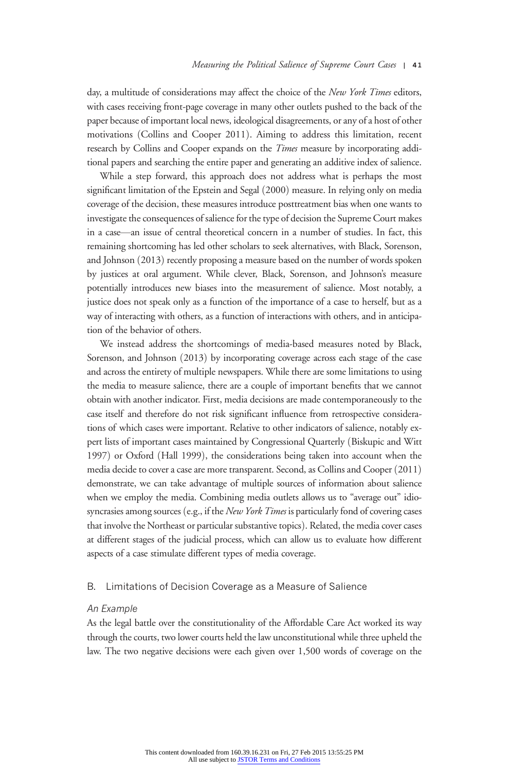day, a multitude of considerations may affect the choice of the New York Times editors, with cases receiving front-page coverage in many other outlets pushed to the back of the paper because of important local news, ideological disagreements, or any of a host of other motivations (Collins and Cooper 2011). Aiming to address this limitation, recent research by Collins and Cooper expands on the *Times* measure by incorporating additional papers and searching the entire paper and generating an additive index of salience.

While a step forward, this approach does not address what is perhaps the most significant limitation of the Epstein and Segal (2000) measure. In relying only on media coverage of the decision, these measures introduce posttreatment bias when one wants to investigate the consequences of salience for the type of decision the Supreme Court makes in a case—an issue of central theoretical concern in a number of studies. In fact, this remaining shortcoming has led other scholars to seek alternatives, with Black, Sorenson, and Johnson (2013) recently proposing a measure based on the number of words spoken by justices at oral argument. While clever, Black, Sorenson, and Johnson's measure potentially introduces new biases into the measurement of salience. Most notably, a justice does not speak only as a function of the importance of a case to herself, but as a way of interacting with others, as a function of interactions with others, and in anticipation of the behavior of others.

We instead address the shortcomings of media-based measures noted by Black, Sorenson, and Johnson  $(2013)$  by incorporating coverage across each stage of the case and across the entirety of multiple newspapers. While there are some limitations to using the media to measure salience, there are a couple of important benefits that we cannot obtain with another indicator. First, media decisions are made contemporaneously to the case itself and therefore do not risk significant influence from retrospective considerations of which cases were important. Relative to other indicators of salience, notably expert lists of important cases maintained by Congressional Quarterly (Biskupic and Witt 1997) or Oxford (Hall 1999), the considerations being taken into account when the media decide to cover a case are more transparent. Second, as Collins and Cooper (2011) demonstrate, we can take advantage of multiple sources of information about salience when we employ the media. Combining media outlets allows us to "average out" idiosyncrasies among sources (e.g., if the New York Times is particularly fond of covering cases that involve the Northeast or particular substantive topics). Related, the media cover cases at different stages of the judicial process, which can allow us to evaluate how different aspects of a case stimulate different types of media coverage.

#### B. Limitations of Decision Coverage as a Measure of Salience

#### An Example

As the legal battle over the constitutionality of the Affordable Care Act worked its way through the courts, two lower courts held the law unconstitutional while three upheld the law. The two negative decisions were each given over 1,500 words of coverage on the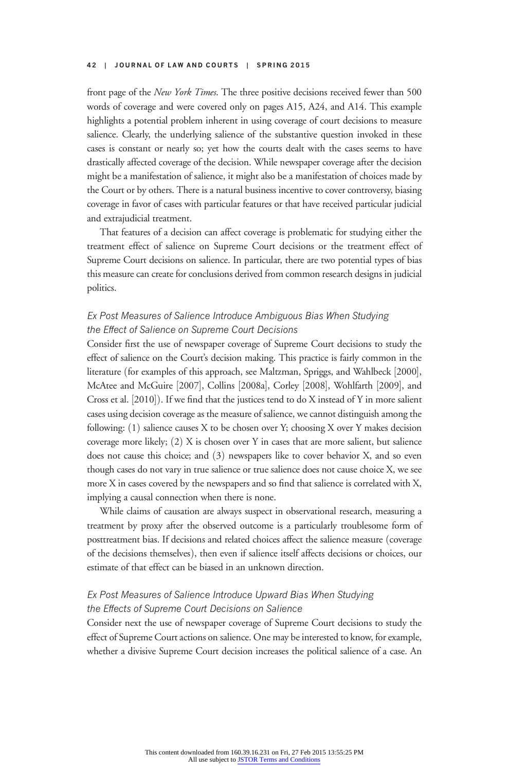front page of the New York Times. The three positive decisions received fewer than 500 words of coverage and were covered only on pages A15, A24, and A14. This example highlights a potential problem inherent in using coverage of court decisions to measure salience. Clearly, the underlying salience of the substantive question invoked in these cases is constant or nearly so; yet how the courts dealt with the cases seems to have drastically affected coverage of the decision. While newspaper coverage after the decision might be a manifestation of salience, it might also be a manifestation of choices made by the Court or by others. There is a natural business incentive to cover controversy, biasing coverage in favor of cases with particular features or that have received particular judicial and extrajudicial treatment.

That features of a decision can affect coverage is problematic for studying either the treatment effect of salience on Supreme Court decisions or the treatment effect of Supreme Court decisions on salience. In particular, there are two potential types of bias this measure can create for conclusions derived from common research designs in judicial politics.

# Ex Post Measures of Salience Introduce Ambiguous Bias When Studying the Effect of Salience on Supreme Court Decisions

Consider first the use of newspaper coverage of Supreme Court decisions to study the effect of salience on the Court's decision making. This practice is fairly common in the literature (for examples of this approach, see Maltzman, Spriggs, and Wahlbeck  $\vert 2000 \vert$ , McAtee and McGuire [2007], Collins [2008a], Corley [2008], Wohlfarth [2009], and Cross et al.  $[2010]$ ). If we find that the justices tend to do X instead of Y in more salient cases using decision coverage as the measure of salience, we cannot distinguish among the following:  $(1)$  salience causes X to be chosen over Y; choosing X over Y makes decision coverage more likely;  $(2)$  X is chosen over Y in cases that are more salient, but salience does not cause this choice; and  $(3)$  newspapers like to cover behavior X, and so even though cases do not vary in true salience or true salience does not cause choice X, we see more X in cases covered by the newspapers and so find that salience is correlated with X, implying a causal connection when there is none.

While claims of causation are always suspect in observational research, measuring a treatment by proxy after the observed outcome is a particularly troublesome form of posttreatment bias. If decisions and related choices affect the salience measure (coverage of the decisions themselves), then even if salience itself affects decisions or choices, our estimate of that effect can be biased in an unknown direction.

## Ex Post Measures of Salience Introduce Upward Bias When Studying the Effects of Supreme Court Decisions on Salience

Consider next the use of newspaper coverage of Supreme Court decisions to study the effect of Supreme Court actions on salience. One may be interested to know, for example, whether a divisive Supreme Court decision increases the political salience of a case. An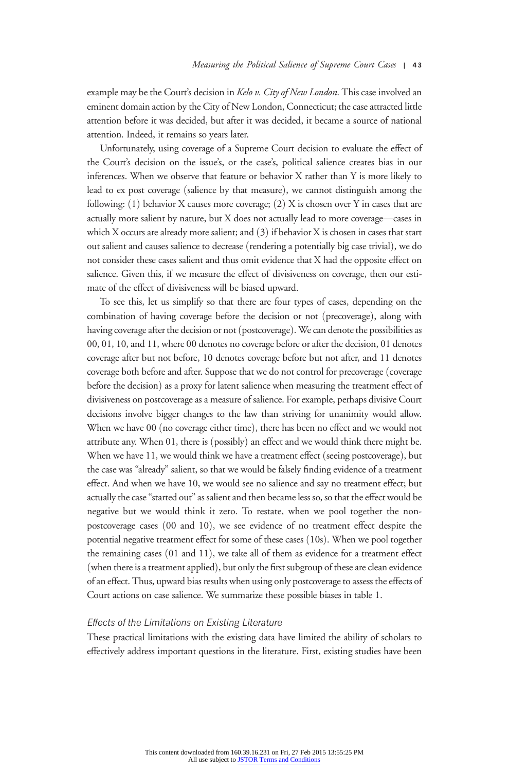example may be the Court's decision in Kelo v. City of New London. This case involved an eminent domain action by the City of New London, Connecticut; the case attracted little attention before it was decided, but after it was decided, it became a source of national attention. Indeed, it remains so years later.

Unfortunately, using coverage of a Supreme Court decision to evaluate the effect of the Court's decision on the issue's, or the case's, political salience creates bias in our inferences. When we observe that feature or behavior X rather than Y is more likely to lead to ex post coverage (salience by that measure), we cannot distinguish among the following:  $(1)$  behavior X causes more coverage;  $(2)$  X is chosen over Y in cases that are actually more salient by nature, but X does not actually lead to more coverage—cases in which X occurs are already more salient; and  $(3)$  if behavior X is chosen in cases that start out salient and causes salience to decrease (rendering a potentially big case trivial), we do not consider these cases salient and thus omit evidence that X had the opposite effect on salience. Given this, if we measure the effect of divisiveness on coverage, then our estimate of the effect of divisiveness will be biased upward.

To see this, let us simplify so that there are four types of cases, depending on the combination of having coverage before the decision or not (precoverage), along with having coverage after the decision or not (postcoverage). We can denote the possibilities as 00, 01, 10, and 11, where 00 denotes no coverage before or after the decision, 01 denotes coverage after but not before, 10 denotes coverage before but not after, and 11 denotes coverage both before and after. Suppose that we do not control for precoverage (coverage before the decision) as a proxy for latent salience when measuring the treatment effect of divisiveness on postcoverage as a measure of salience. For example, perhaps divisive Court decisions involve bigger changes to the law than striving for unanimity would allow. When we have 00 (no coverage either time), there has been no effect and we would not attribute any. When 01, there is (possibly) an effect and we would think there might be. When we have 11, we would think we have a treatment effect (seeing postcoverage), but the case was "already" salient, so that we would be falsely finding evidence of a treatment effect. And when we have 10, we would see no salience and say no treatment effect; but actually the case"started out"as salient and then became less so, so that the effect would be negative but we would think it zero. To restate, when we pool together the nonpostcoverage cases  $(00 \text{ and } 10)$ , we see evidence of no treatment effect despite the potential negative treatment effect for some of these cases  $(10s)$ . When we pool together the remaining cases  $(01$  and  $11)$ , we take all of them as evidence for a treatment effect (when there is a treatment applied), but only the first subgroup of these are clean evidence of an effect. Thus, upward bias results when using only postcoverage to assess the effects of Court actions on case salience. We summarize these possible biases in table 1.

## Effects of the Limitations on Existing Literature

These practical limitations with the existing data have limited the ability of scholars to effectively address important questions in the literature. First, existing studies have been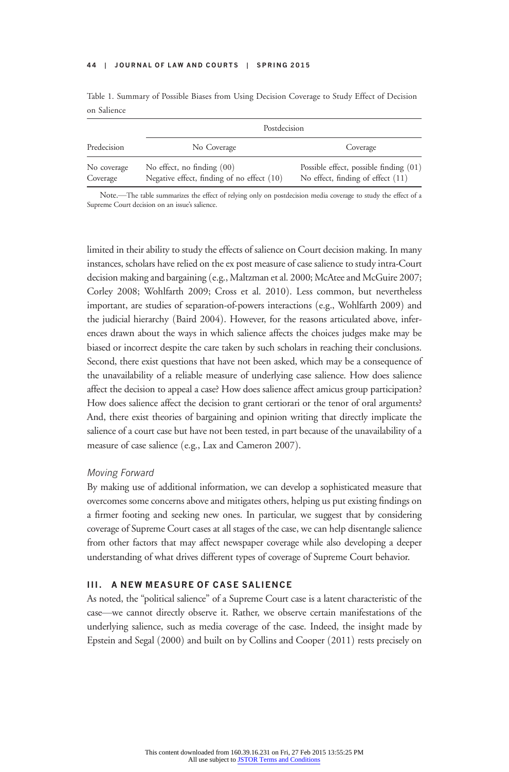| Table 1. Summary of Possible Biases from Using Decision Coverage to Study Effect of Decision |  |  |  |  |  |
|----------------------------------------------------------------------------------------------|--|--|--|--|--|
| on Salience                                                                                  |  |  |  |  |  |

|                         | Postdecision                                                               |                                                                                 |  |  |
|-------------------------|----------------------------------------------------------------------------|---------------------------------------------------------------------------------|--|--|
| Predecision             | No Coverage                                                                | Coverage                                                                        |  |  |
| No coverage<br>Coverage | No effect, no finding $(00)$<br>Negative effect, finding of no effect (10) | Possible effect, possible finding $(01)$<br>No effect, finding of effect $(11)$ |  |  |

Note.—The table summarizes the effect of relying only on postdecision media coverage to study the effect of a Supreme Court decision on an issue's salience.

limited in their ability to study the effects of salience on Court decision making. In many instances, scholars have relied on the ex post measure of case salience to study intra-Court decision making and bargaining (e.g., Maltzman et al. 2000; McAtee and McGuire 2007; Corley 2008; Wohlfarth 2009; Cross et al. 2010). Less common, but nevertheless important, are studies of separation-of-powers interactions (e.g., Wohlfarth 2009) and the judicial hierarchy (Baird 2004). However, for the reasons articulated above, inferences drawn about the ways in which salience affects the choices judges make may be biased or incorrect despite the care taken by such scholars in reaching their conclusions. Second, there exist questions that have not been asked, which may be a consequence of the unavailability of a reliable measure of underlying case salience. How does salience affect the decision to appeal a case? How does salience affect amicus group participation? How does salience affect the decision to grant certiorari or the tenor of oral arguments? And, there exist theories of bargaining and opinion writing that directly implicate the salience of a court case but have not been tested, in part because of the unavailability of a measure of case salience (e.g., Lax and Cameron 2007).

#### Moving Forward

By making use of additional information, we can develop a sophisticated measure that overcomes some concerns above and mitigates others, helping us put existing findings on a firmer footing and seeking new ones. In particular, we suggest that by considering coverage of Supreme Court cases at all stages of the case, we can help disentangle salience from other factors that may affect newspaper coverage while also developing a deeper understanding of what drives different types of coverage of Supreme Court behavior.

## III. A NEW MEASURE OF CASE SALIENCE

As noted, the "political salience" of a Supreme Court case is a latent characteristic of the case—we cannot directly observe it. Rather, we observe certain manifestations of the underlying salience, such as media coverage of the case. Indeed, the insight made by Epstein and Segal (2000) and built on by Collins and Cooper (2011) rests precisely on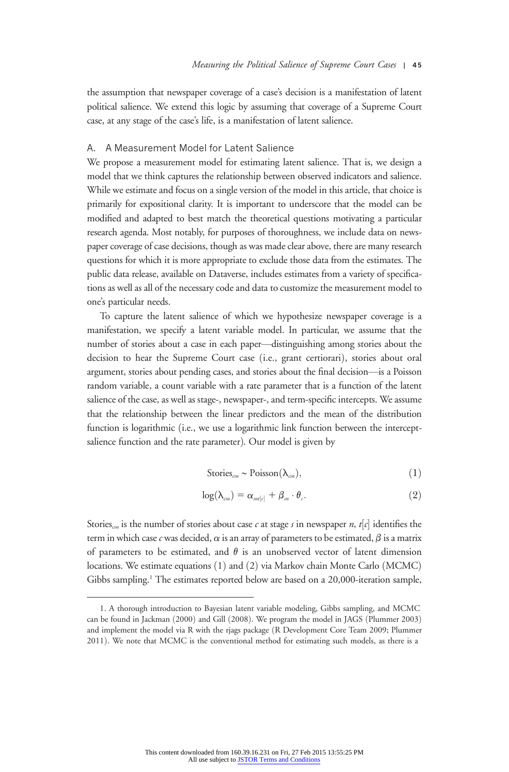the assumption that newspaper coverage of a case's decision is a manifestation of latent political salience. We extend this logic by assuming that coverage of a Supreme Court case, at any stage of the case's life, is a manifestation of latent salience.

## A. A Measurement Model for Latent Salience

We propose a measurement model for estimating latent salience. That is, we design a model that we think captures the relationship between observed indicators and salience. While we estimate and focus on a single version of the model in this article, that choice is primarily for expositional clarity. It is important to underscore that the model can be modified and adapted to best match the theoretical questions motivating a particular research agenda. Most notably, for purposes of thoroughness, we include data on newspaper coverage of case decisions, though as was made clear above, there are many research questions for which it is more appropriate to exclude those data from the estimates. The public data release, available on Dataverse, includes estimates from a variety of specifications as well as all of the necessary code and data to customize the measurement model to one's particular needs.

To capture the latent salience of which we hypothesize newspaper coverage is a manifestation, we specify a latent variable model. In particular, we assume that the number of stories about a case in each paper—distinguishing among stories about the decision to hear the Supreme Court case (i.e., grant certiorari), stories about oral argument, stories about pending cases, and stories about the final decision—is a Poisson random variable, a count variable with a rate parameter that is a function of the latent salience of the case, as well as stage-, newspaper-, and term-specific intercepts. We assume that the relationship between the linear predictors and the mean of the distribution function is logarithmic (i.e., we use a logarithmic link function between the interceptsalience function and the rate parameter). Our model is given by

$$
Stories_{\scriptscriptstyle \sf CM} \sim \mathrm{Poisson}(\lambda_{\scriptscriptstyle \sf CM}),\tag{1}
$$

$$
\log(\lambda_{\scriptscriptstyle cm}) = \alpha_{\scriptscriptstyle snI[c]} + \beta_{\scriptscriptstyle m} \cdot \theta_{\scriptscriptstyle c}.\tag{2}
$$

Stories<sub>cn</sub> is the number of stories about case c at stage s in newspaper n,  $t[c]$  identifies the term in which case c was decided,  $\alpha$  is an array of parameters to be estimated,  $\beta$  is a matrix of parameters to be estimated, and  $\theta$  is an unobserved vector of latent dimension locations. We estimate equations (1) and (2) via Markov chain Monte Carlo (MCMC) Gibbs sampling.<sup>1</sup> The estimates reported below are based on a 20,000-iteration sample,

<sup>1.</sup> A thorough introduction to Bayesian latent variable modeling, Gibbs sampling, and MCMC can be found in Jackman (2000) and Gill (2008). We program the model in JAGS (Plummer 2003) and implement the model via R with the rjags package (R Development Core Team 2009; Plummer 2011). We note that MCMC is the conventional method for estimating such models, as there is a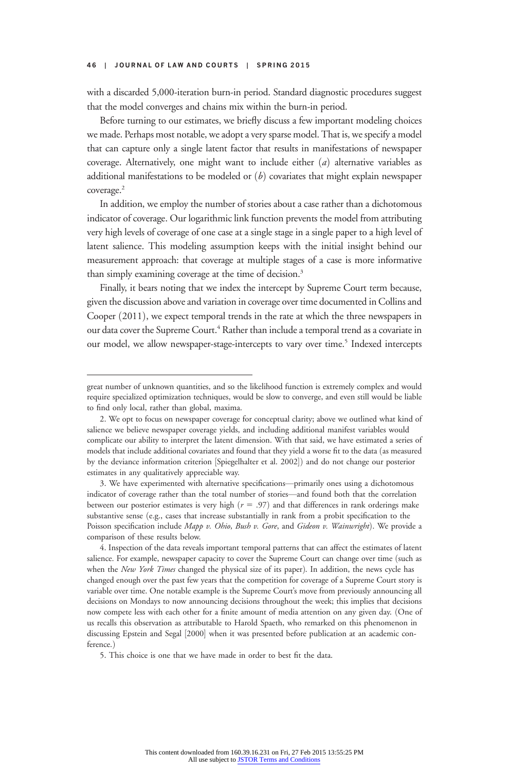with a discarded 5,000-iteration burn-in period. Standard diagnostic procedures suggest that the model converges and chains mix within the burn-in period.

Before turning to our estimates, we briefly discuss a few important modeling choices we made. Perhaps most notable, we adopt a very sparse model. That is, we specify a model that can capture only a single latent factor that results in manifestations of newspaper coverage. Alternatively, one might want to include either  $(a)$  alternative variables as additional manifestations to be modeled or  $(b)$  covariates that might explain newspaper coverage.<sup>2</sup>

In addition, we employ the number of stories about a case rather than a dichotomous indicator of coverage. Our logarithmic link function prevents the model from attributing very high levels of coverage of one case at a single stage in a single paper to a high level of latent salience. This modeling assumption keeps with the initial insight behind our measurement approach: that coverage at multiple stages of a case is more informative than simply examining coverage at the time of decision.<sup>3</sup>

Finally, it bears noting that we index the intercept by Supreme Court term because, given the discussion above and variation in coverage over time documented in Collins and Cooper  $(2011)$ , we expect temporal trends in the rate at which the three newspapers in our data cover the Supreme Court.<sup>4</sup> Rather than include a temporal trend as a covariate in our model, we allow newspaper-stage-intercepts to vary over time.<sup>5</sup> Indexed intercepts

great number of unknown quantities, and so the likelihood function is extremely complex and would require specialized optimization techniques, would be slow to converge, and even still would be liable to find only local, rather than global, maxima.

<sup>2.</sup> We opt to focus on newspaper coverage for conceptual clarity; above we outlined what kind of salience we believe newspaper coverage yields, and including additional manifest variables would complicate our ability to interpret the latent dimension. With that said, we have estimated a series of models that include additional covariates and found that they yield a worse fit to the data (as measured by the deviance information criterion [Spiegelhalter et al. 2002]) and do not change our posterior estimates in any qualitatively appreciable way.

<sup>3.</sup> We have experimented with alternative specifications—primarily ones using a dichotomous indicator of coverage rather than the total number of stories—and found both that the correlation between our posterior estimates is very high  $(r = .97)$  and that differences in rank orderings make substantive sense (e.g., cases that increase substantially in rank from a probit specification to the Poisson specification include Mapp v. Ohio, Bush v. Gore, and Gideon v. Wainwright). We provide a comparison of these results below.

<sup>4.</sup> Inspection of the data reveals important temporal patterns that can affect the estimates of latent salience. For example, newspaper capacity to cover the Supreme Court can change over time (such as when the New York Times changed the physical size of its paper). In addition, the news cycle has changed enough over the past few years that the competition for coverage of a Supreme Court story is variable over time. One notable example is the Supreme Court's move from previously announcing all decisions on Mondays to now announcing decisions throughout the week; this implies that decisions now compete less with each other for a finite amount of media attention on any given day. (One of us recalls this observation as attributable to Harold Spaeth, who remarked on this phenomenon in discussing Epstein and Segal [2000] when it was presented before publication at an academic conference.)

<sup>5.</sup> This choice is one that we have made in order to best fit the data.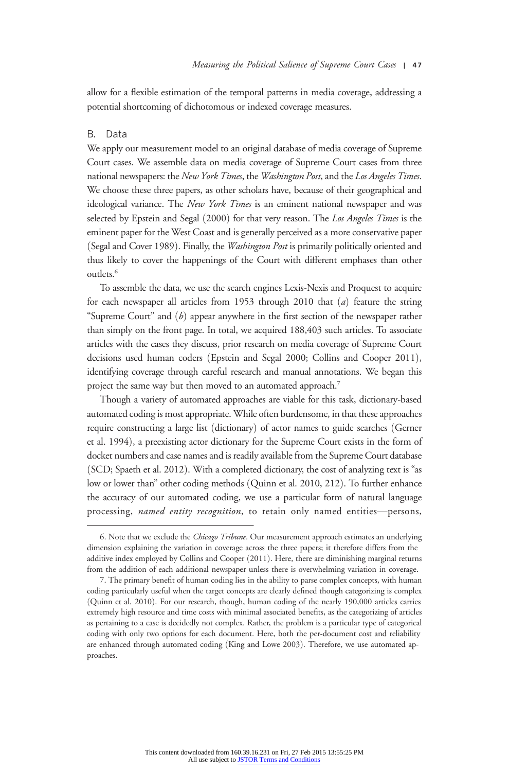allow for a flexible estimation of the temporal patterns in media coverage, addressing a potential shortcoming of dichotomous or indexed coverage measures.

## B. Data

We apply our measurement model to an original database of media coverage of Supreme Court cases. We assemble data on media coverage of Supreme Court cases from three national newspapers: the New York Times, the Washington Post, and the Los Angeles Times. We choose these three papers, as other scholars have, because of their geographical and ideological variance. The New York Times is an eminent national newspaper and was selected by Epstein and Segal (2000) for that very reason. The Los Angeles Times is the eminent paper for the West Coast and is generally perceived as a more conservative paper (Segal and Cover 1989). Finally, the Washington Post is primarily politically oriented and thus likely to cover the happenings of the Court with different emphases than other outlets.6

To assemble the data, we use the search engines Lexis-Nexis and Proquest to acquire for each newspaper all articles from 1953 through 2010 that  $(a)$  feature the string "Supreme Court" and  $(b)$  appear anywhere in the first section of the newspaper rather than simply on the front page. In total, we acquired 188,403 such articles. To associate articles with the cases they discuss, prior research on media coverage of Supreme Court decisions used human coders (Epstein and Segal 2000; Collins and Cooper 2011), identifying coverage through careful research and manual annotations. We began this project the same way but then moved to an automated approach.<sup>7</sup>

Though a variety of automated approaches are viable for this task, dictionary-based automated coding is most appropriate. While often burdensome, in that these approaches require constructing a large list (dictionary) of actor names to guide searches (Gerner et al. 1994), a preexisting actor dictionary for the Supreme Court exists in the form of docket numbers and case names and is readily available from the Supreme Court database (SCD; Spaeth et al. 2012). With a completed dictionary, the cost of analyzing text is "as low or lower than" other coding methods (Quinn et al. 2010, 212). To further enhance the accuracy of our automated coding, we use a particular form of natural language processing, named entity recognition, to retain only named entities—persons,

<sup>6.</sup> Note that we exclude the Chicago Tribune. Our measurement approach estimates an underlying dimension explaining the variation in coverage across the three papers; it therefore differs from the additive index employed by Collins and Cooper (2011). Here, there are diminishing marginal returns from the addition of each additional newspaper unless there is overwhelming variation in coverage.

<sup>7.</sup> The primary benefit of human coding lies in the ability to parse complex concepts, with human coding particularly useful when the target concepts are clearly defined though categorizing is complex ðQuinn et al. 2010Þ. For our research, though, human coding of the nearly 190,000 articles carries extremely high resource and time costs with minimal associated benefits, as the categorizing of articles as pertaining to a case is decidedly not complex. Rather, the problem is a particular type of categorical coding with only two options for each document. Here, both the per-document cost and reliability are enhanced through automated coding (King and Lowe 2003). Therefore, we use automated approaches.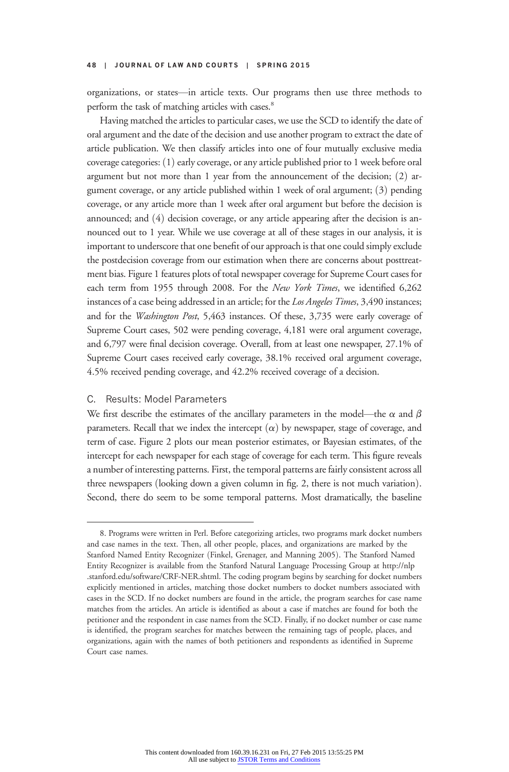organizations, or states—in article texts. Our programs then use three methods to perform the task of matching articles with cases.<sup>8</sup>

Having matched the articles to particular cases, we use the SCD to identify the date of oral argument and the date of the decision and use another program to extract the date of article publication. We then classify articles into one of four mutually exclusive media coverage categories: (1) early coverage, or any article published prior to 1 week before oral argument but not more than  $1$  year from the announcement of the decision;  $(2)$  argument coverage, or any article published within 1 week of oral argument;  $(3)$  pending coverage, or any article more than 1 week after oral argument but before the decision is announced; and  $(4)$  decision coverage, or any article appearing after the decision is announced out to 1 year. While we use coverage at all of these stages in our analysis, it is important to underscore that one benefit of our approach is that one could simply exclude the postdecision coverage from our estimation when there are concerns about posttreatment bias. Figure 1 features plots of total newspaper coverage for Supreme Court cases for each term from 1955 through 2008. For the New York Times, we identified 6,262 instances of a case being addressed in an article; for the Los Angeles Times, 3,490 instances; and for the Washington Post, 5,463 instances. Of these, 3,735 were early coverage of Supreme Court cases, 502 were pending coverage, 4,181 were oral argument coverage, and 6,797 were final decision coverage. Overall, from at least one newspaper, 27.1% of Supreme Court cases received early coverage, 38.1% received oral argument coverage, 4.5% received pending coverage, and 42.2% received coverage of a decision.

## C. Results: Model Parameters

We first describe the estimates of the ancillary parameters in the model—the  $\alpha$  and  $\beta$ parameters. Recall that we index the intercept  $(\alpha)$  by newspaper, stage of coverage, and term of case. Figure 2 plots our mean posterior estimates, or Bayesian estimates, of the intercept for each newspaper for each stage of coverage for each term. This figure reveals a number of interesting patterns. First, the temporal patterns are fairly consistent across all three newspapers (looking down a given column in fig. 2, there is not much variation). Second, there do seem to be some temporal patterns. Most dramatically, the baseline

<sup>8.</sup> Programs were written in Perl. Before categorizing articles, two programs mark docket numbers and case names in the text. Then, all other people, places, and organizations are marked by the Stanford Named Entity Recognizer (Finkel, Grenager, and Manning 2005). The Stanford Named Entity Recognizer is available from the Stanford Natural Language Processing Group at http://nlp .stanford.edu/software/CRF-NER.shtml. The coding program begins by searching for docket numbers explicitly mentioned in articles, matching those docket numbers to docket numbers associated with cases in the SCD. If no docket numbers are found in the article, the program searches for case name matches from the articles. An article is identified as about a case if matches are found for both the petitioner and the respondent in case names from the SCD. Finally, if no docket number or case name is identified, the program searches for matches between the remaining tags of people, places, and organizations, again with the names of both petitioners and respondents as identified in Supreme Court case names.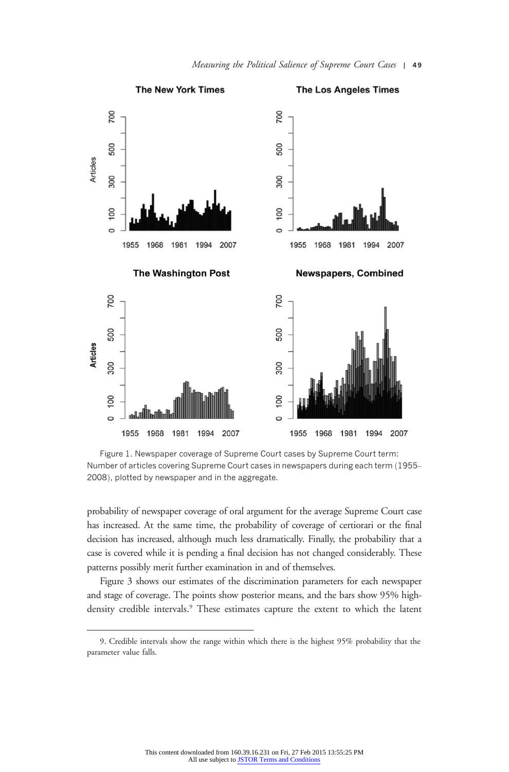

Figure 1. Newspaper coverage of Supreme Court cases by Supreme Court term: Number of articles covering Supreme Court cases in newspapers during each term (1955– 2008), plotted by newspaper and in the aggregate.

probability of newspaper coverage of oral argument for the average Supreme Court case has increased. At the same time, the probability of coverage of certiorari or the final decision has increased, although much less dramatically. Finally, the probability that a case is covered while it is pending a final decision has not changed considerably. These patterns possibly merit further examination in and of themselves.

Figure 3 shows our estimates of the discrimination parameters for each newspaper and stage of coverage. The points show posterior means, and the bars show 95% highdensity credible intervals.<sup>9</sup> These estimates capture the extent to which the latent

<sup>9.</sup> Credible intervals show the range within which there is the highest 95% probability that the parameter value falls.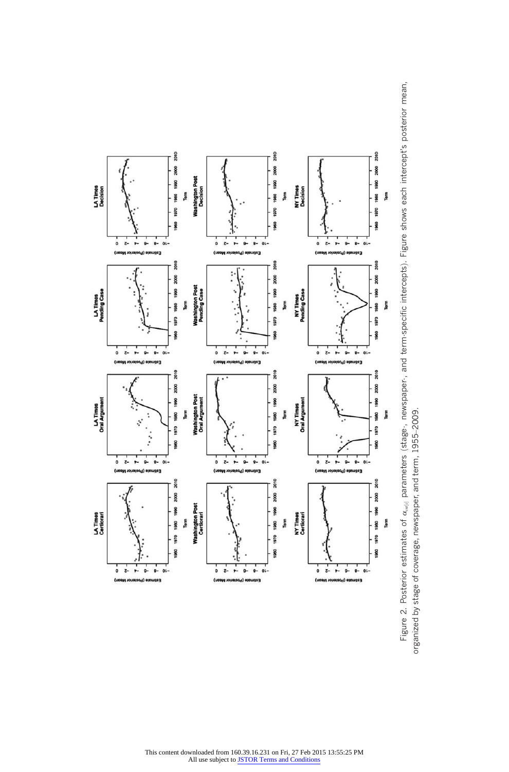

Figure 2. Posterior estimates of  $\alpha_{m[\epsilon]}$  parameters (stage-, newspaper-, and term-specific intercepts). Figure shows each intercept's posterior mean, <sub>n</sub> parameters (stage-, newspaper-, and term-specific intercepts). Figure shows each intercept's posterior mean, organized by stage of coverage, newspaper, and term, 1955-2009. organized by stage of coverage, newspaper, and term, 1955–2009. Figure 2. Posterior estimates of  $\alpha_{\scriptscriptstyle mklc}$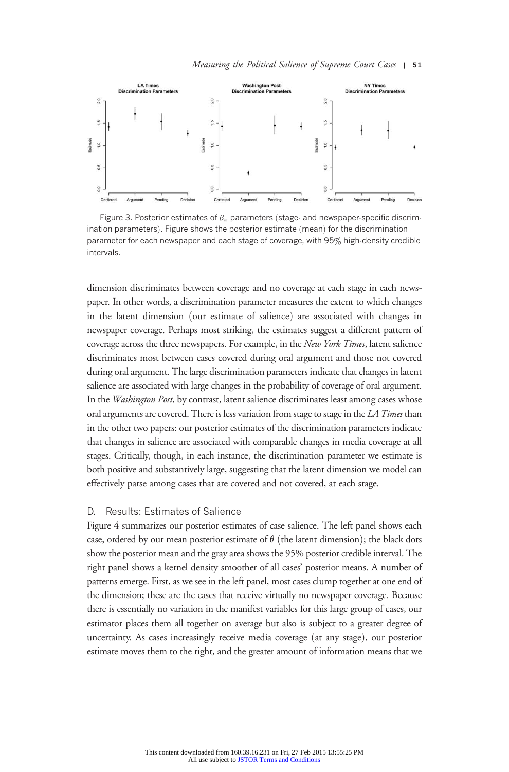### Measuring the Political Salience of Supreme Court Cases | 51



Figure 3. Posterior estimates of  $\beta_m$  parameters (stage- and newspaper-specific discrimination parameters). Figure shows the posterior estimate (mean) for the discrimination parameter for each newspaper and each stage of coverage, with 95% high-density credible intervals.

dimension discriminates between coverage and no coverage at each stage in each newspaper. In other words, a discrimination parameter measures the extent to which changes in the latent dimension (our estimate of salience) are associated with changes in newspaper coverage. Perhaps most striking, the estimates suggest a different pattern of coverage across the three newspapers. For example, in the New York Times, latent salience discriminates most between cases covered during oral argument and those not covered during oral argument. The large discrimination parameters indicate that changes in latent salience are associated with large changes in the probability of coverage of oral argument. In the *Washington Post*, by contrast, latent salience discriminates least among cases whose oral arguments are covered. There is less variation from stage to stage in the LA Times than in the other two papers: our posterior estimates of the discrimination parameters indicate that changes in salience are associated with comparable changes in media coverage at all stages. Critically, though, in each instance, the discrimination parameter we estimate is both positive and substantively large, suggesting that the latent dimension we model can effectively parse among cases that are covered and not covered, at each stage.

## D. Results: Estimates of Salience

Figure 4 summarizes our posterior estimates of case salience. The left panel shows each case, ordered by our mean posterior estimate of  $\theta$  (the latent dimension); the black dots show the posterior mean and the gray area shows the 95% posterior credible interval. The right panel shows a kernel density smoother of all cases' posterior means. A number of patterns emerge. First, as we see in the left panel, most cases clump together at one end of the dimension; these are the cases that receive virtually no newspaper coverage. Because there is essentially no variation in the manifest variables for this large group of cases, our estimator places them all together on average but also is subject to a greater degree of uncertainty. As cases increasingly receive media coverage (at any stage), our posterior estimate moves them to the right, and the greater amount of information means that we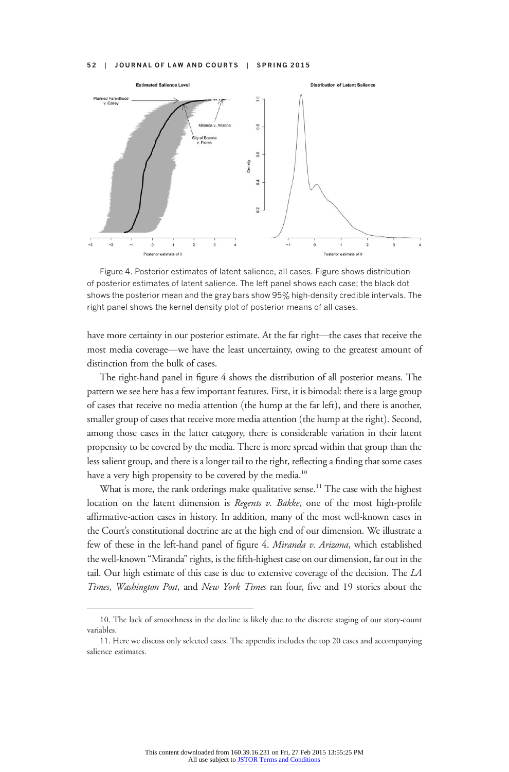

Figure 4. Posterior estimates of latent salience, all cases. Figure shows distribution of posterior estimates of latent salience. The left panel shows each case; the black dot shows the posterior mean and the gray bars show 95% high-density credible intervals. The right panel shows the kernel density plot of posterior means of all cases.

have more certainty in our posterior estimate. At the far right—the cases that receive the most media coverage—we have the least uncertainty, owing to the greatest amount of distinction from the bulk of cases.

The right-hand panel in figure 4 shows the distribution of all posterior means. The pattern we see here has a few important features. First, it is bimodal: there is a large group of cases that receive no media attention (the hump at the far left), and there is another, smaller group of cases that receive more media attention (the hump at the right). Second, among those cases in the latter category, there is considerable variation in their latent propensity to be covered by the media. There is more spread within that group than the less salient group, and there is a longer tail to the right, reflecting a finding that some cases have a very high propensity to be covered by the media.<sup>10</sup>

What is more, the rank orderings make qualitative sense.<sup>11</sup> The case with the highest location on the latent dimension is Regents v. Bakke, one of the most high-profile affirmative-action cases in history. In addition, many of the most well-known cases in the Court's constitutional doctrine are at the high end of our dimension. We illustrate a few of these in the left-hand panel of figure 4. Miranda v. Arizona, which established the well-known "Miranda" rights, is the fifth-highest case on our dimension, far out in the tail. Our high estimate of this case is due to extensive coverage of the decision. The LA Times, Washington Post, and New York Times ran four, five and 19 stories about the

<sup>10.</sup> The lack of smoothness in the decline is likely due to the discrete staging of our story-count variables.

<sup>11.</sup> Here we discuss only selected cases. The appendix includes the top 20 cases and accompanying salience estimates.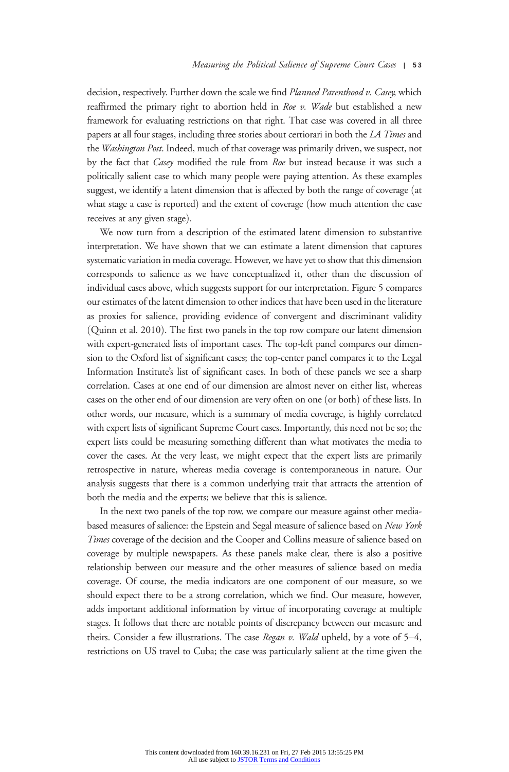decision, respectively. Further down the scale we find Planned Parenthood v. Casey, which reaffirmed the primary right to abortion held in Roe v. Wade but established a new framework for evaluating restrictions on that right. That case was covered in all three papers at all four stages, including three stories about certiorari in both the LA Times and the Washington Post. Indeed, much of that coverage was primarily driven, we suspect, not by the fact that Casey modified the rule from Roe but instead because it was such a politically salient case to which many people were paying attention. As these examples suggest, we identify a latent dimension that is affected by both the range of coverage (at what stage a case is reported) and the extent of coverage (how much attention the case receives at any given stage).

We now turn from a description of the estimated latent dimension to substantive interpretation. We have shown that we can estimate a latent dimension that captures systematic variation in media coverage. However, we have yet to show that this dimension corresponds to salience as we have conceptualized it, other than the discussion of individual cases above, which suggests support for our interpretation. Figure 5 compares our estimates of the latent dimension to other indices that have been used in the literature as proxies for salience, providing evidence of convergent and discriminant validity  $Q$ uinn et al. 2010). The first two panels in the top row compare our latent dimension with expert-generated lists of important cases. The top-left panel compares our dimension to the Oxford list of significant cases; the top-center panel compares it to the Legal Information Institute's list of significant cases. In both of these panels we see a sharp correlation. Cases at one end of our dimension are almost never on either list, whereas cases on the other end of our dimension are very often on one (or both) of these lists. In other words, our measure, which is a summary of media coverage, is highly correlated with expert lists of significant Supreme Court cases. Importantly, this need not be so; the expert lists could be measuring something different than what motivates the media to cover the cases. At the very least, we might expect that the expert lists are primarily retrospective in nature, whereas media coverage is contemporaneous in nature. Our analysis suggests that there is a common underlying trait that attracts the attention of both the media and the experts; we believe that this is salience.

In the next two panels of the top row, we compare our measure against other mediabased measures of salience: the Epstein and Segal measure of salience based on New York Times coverage of the decision and the Cooper and Collins measure of salience based on coverage by multiple newspapers. As these panels make clear, there is also a positive relationship between our measure and the other measures of salience based on media coverage. Of course, the media indicators are one component of our measure, so we should expect there to be a strong correlation, which we find. Our measure, however, adds important additional information by virtue of incorporating coverage at multiple stages. It follows that there are notable points of discrepancy between our measure and theirs. Consider a few illustrations. The case Regan v. Wald upheld, by a vote of  $5-4$ , restrictions on US travel to Cuba; the case was particularly salient at the time given the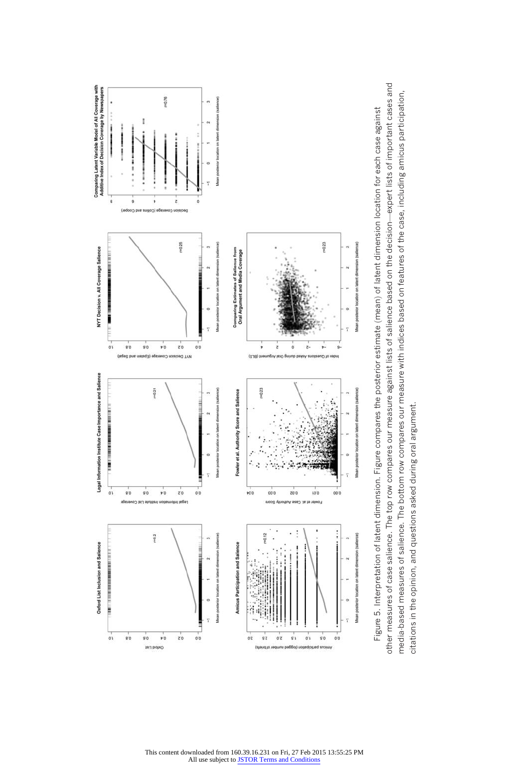

other measures of case salience. The top row compares our measure against lists of salience based on the decision—expert lists of important cases and —expert lists of important cases and media-based measures of salience. The bottom row compares our measure with indices based on features of the case, including amicus participation, media-based measures of salience. The bottom row compares our measure with indices based on features of the case, including amicus participation, Figure 5. Interpretation of latent dimension. Figure compares the posterior estimate (mean) of latent dimension location for each case against Figure 5. Interpretation of latent dimension. Figure compares the posterior estimate (mean) of latent dimension location for each case against other measures of case salience. The top row compares our measure against lists of salience based on the decision citations in the opinion, and questions asked during oral argument. citations in the opinion, and questions asked during oral argument.

This content downloaded from 160.39.16.231 on Fri, 27 Feb 2015 13:55:25 PM All use subject to [JSTOR Terms and Conditions](http://www.jstor.org/page/info/about/policies/terms.jsp)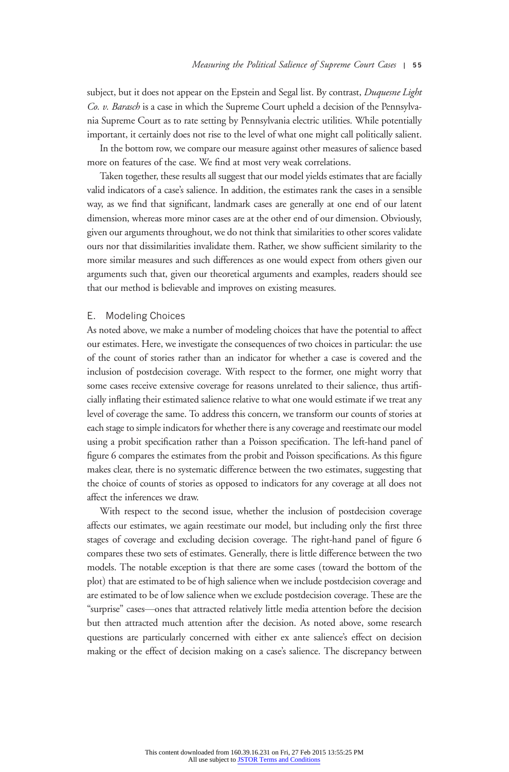subject, but it does not appear on the Epstein and Segal list. By contrast, Duquesne Light Co. v. Barasch is a case in which the Supreme Court upheld a decision of the Pennsylvania Supreme Court as to rate setting by Pennsylvania electric utilities. While potentially important, it certainly does not rise to the level of what one might call politically salient.

In the bottom row, we compare our measure against other measures of salience based more on features of the case. We find at most very weak correlations.

Taken together, these results all suggest that our model yields estimates that are facially valid indicators of a case's salience. In addition, the estimates rank the cases in a sensible way, as we find that significant, landmark cases are generally at one end of our latent dimension, whereas more minor cases are at the other end of our dimension. Obviously, given our arguments throughout, we do not think that similarities to other scores validate ours nor that dissimilarities invalidate them. Rather, we show sufficient similarity to the more similar measures and such differences as one would expect from others given our arguments such that, given our theoretical arguments and examples, readers should see that our method is believable and improves on existing measures.

#### E. Modeling Choices

As noted above, we make a number of modeling choices that have the potential to affect our estimates. Here, we investigate the consequences of two choices in particular: the use of the count of stories rather than an indicator for whether a case is covered and the inclusion of postdecision coverage. With respect to the former, one might worry that some cases receive extensive coverage for reasons unrelated to their salience, thus artificially inflating their estimated salience relative to what one would estimate if we treat any level of coverage the same. To address this concern, we transform our counts of stories at each stage to simple indicators for whether there is any coverage and reestimate our model using a probit specification rather than a Poisson specification. The left-hand panel of figure 6 compares the estimates from the probit and Poisson specifications. As this figure makes clear, there is no systematic difference between the two estimates, suggesting that the choice of counts of stories as opposed to indicators for any coverage at all does not affect the inferences we draw.

With respect to the second issue, whether the inclusion of postdecision coverage affects our estimates, we again reestimate our model, but including only the first three stages of coverage and excluding decision coverage. The right-hand panel of figure 6 compares these two sets of estimates. Generally, there is little difference between the two models. The notable exception is that there are some cases (toward the bottom of the plot) that are estimated to be of high salience when we include postdecision coverage and are estimated to be of low salience when we exclude postdecision coverage. These are the "surprise" cases—ones that attracted relatively little media attention before the decision but then attracted much attention after the decision. As noted above, some research questions are particularly concerned with either ex ante salience's effect on decision making or the effect of decision making on a case's salience. The discrepancy between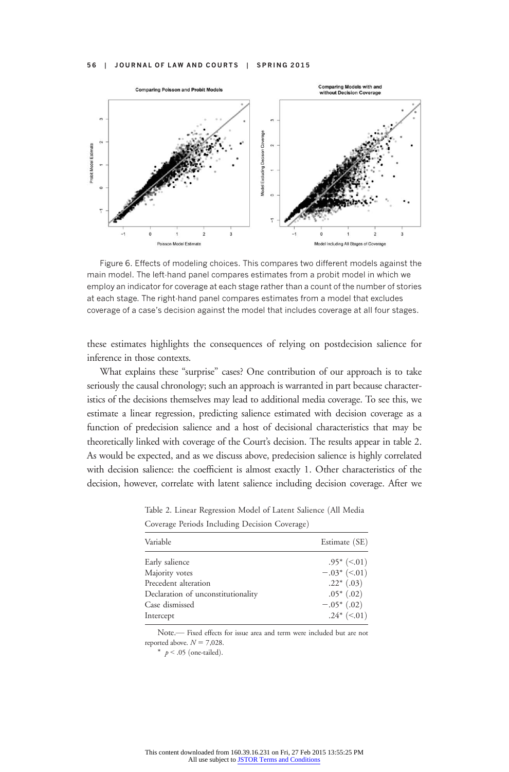

Figure 6. Effects of modeling choices. This compares two different models against the main model. The left-hand panel compares estimates from a probit model in which we employ an indicator for coverage at each stage rather than a count of the number of stories at each stage. The right-hand panel compares estimates from a model that excludes coverage of a case's decision against the model that includes coverage at all four stages.

these estimates highlights the consequences of relying on postdecision salience for inference in those contexts.

What explains these "surprise" cases? One contribution of our approach is to take seriously the causal chronology; such an approach is warranted in part because characteristics of the decisions themselves may lead to additional media coverage. To see this, we estimate a linear regression, predicting salience estimated with decision coverage as a function of predecision salience and a host of decisional characteristics that may be theoretically linked with coverage of the Court's decision. The results appear in table 2. As would be expected, and as we discuss above, predecision salience is highly correlated with decision salience: the coefficient is almost exactly 1. Other characteristics of the decision, however, correlate with latent salience including decision coverage. After we

| Coverage Ferrous including Decision Coverage |               |  |  |  |
|----------------------------------------------|---------------|--|--|--|
| Variable                                     | Estimate (SE) |  |  |  |
| Early salience                               | $.95*(<.01)$  |  |  |  |
| Majority votes                               | $-.03*(<.01)$ |  |  |  |
| Precedent alteration                         | $.22*(.03)$   |  |  |  |
| Declaration of unconstitutionality           | $.05*(.02)$   |  |  |  |
| Case dismissed                               | $-.05*(.02)$  |  |  |  |
| Intercent                                    | $.24*(< 01)$  |  |  |  |

Table 2. Linear Regression Model of Latent Salience (All Media Coverage Periods Including Decision Coverage)

Note.— Fixed effects for issue area and term were included but are not reported above.  $N = 7,028$ .

 $.24*$   $(<.01)$ 

 $*$   $p < .05$  (one-tailed).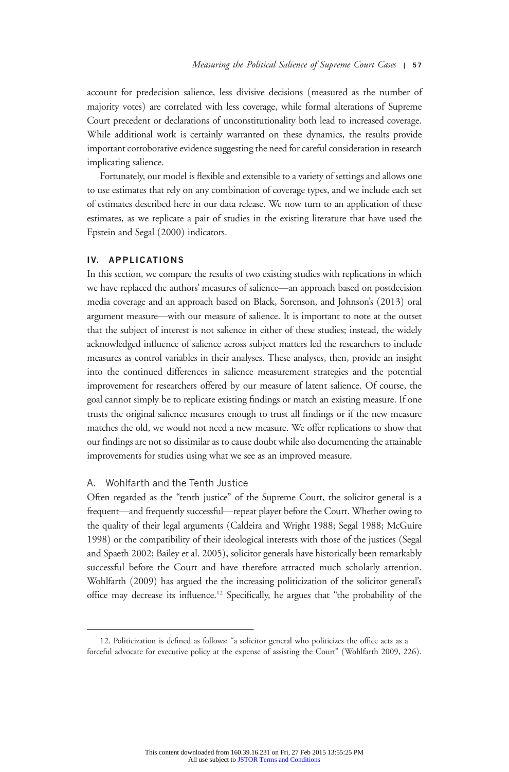account for predecision salience, less divisive decisions (measured as the number of majority votes) are correlated with less coverage, while formal alterations of Supreme Court precedent or declarations of unconstitutionality both lead to increased coverage. While additional work is certainly warranted on these dynamics, the results provide important corroborative evidence suggesting the need for careful consideration in research implicating salience.

Fortunately, our model is flexible and extensible to a variety of settings and allows one to use estimates that rely on any combination of coverage types, and we include each set of estimates described here in our data release. We now turn to an application of these estimates, as we replicate a pair of studies in the existing literature that have used the Epstein and Segal (2000) indicators.

#### IV. APPLICATIONS

In this section, we compare the results of two existing studies with replications in which we have replaced the authors' measures of salience—an approach based on postdecision media coverage and an approach based on Black, Sorenson, and Johnson's (2013) oral argument measure—with our measure of salience. It is important to note at the outset that the subject of interest is not salience in either of these studies; instead, the widely acknowledged influence of salience across subject matters led the researchers to include measures as control variables in their analyses. These analyses, then, provide an insight into the continued differences in salience measurement strategies and the potential improvement for researchers offered by our measure of latent salience. Of course, the goal cannot simply be to replicate existing findings or match an existing measure. If one trusts the original salience measures enough to trust all findings or if the new measure matches the old, we would not need a new measure. We offer replications to show that our findings are not so dissimilar as to cause doubt while also documenting the attainable improvements for studies using what we see as an improved measure.

#### A. Wohlfarth and the Tenth Justice

Often regarded as the "tenth justice" of the Supreme Court, the solicitor general is a frequent—and frequently successful—repeat player before the Court. Whether owing to the quality of their legal arguments (Caldeira and Wright 1988; Segal 1988; McGuire 1998) or the compatibility of their ideological interests with those of the justices (Segal and Spaeth 2002; Bailey et al. 2005), solicitor generals have historically been remarkably successful before the Court and have therefore attracted much scholarly attention. Wohlfarth (2009) has argued the the increasing politicization of the solicitor general's office may decrease its influence.12 Specifically, he argues that "the probability of the

<sup>12.</sup> Politicization is defined as follows: "a solicitor general who politicizes the office acts as a forceful advocate for executive policy at the expense of assisting the Court" (Wohlfarth 2009, 226).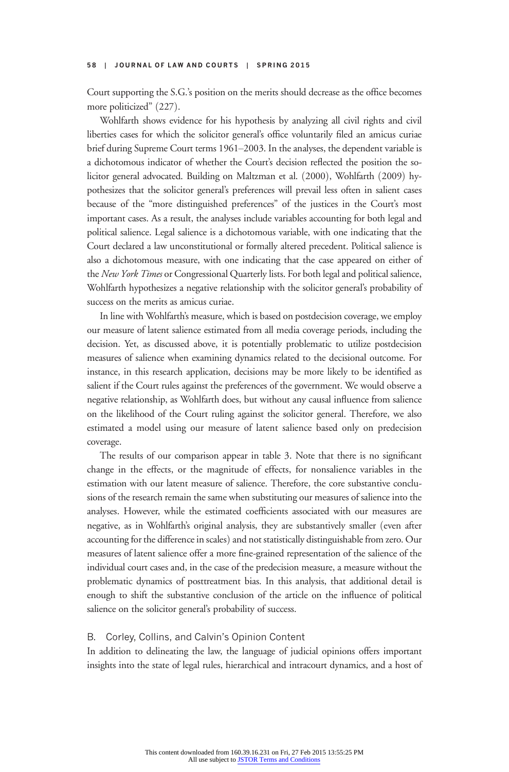Court supporting the S.G.'s position on the merits should decrease as the office becomes more politicized" (227).

Wohlfarth shows evidence for his hypothesis by analyzing all civil rights and civil liberties cases for which the solicitor general's office voluntarily filed an amicus curiae brief during Supreme Court terms 1961–2003. In the analyses, the dependent variable is a dichotomous indicator of whether the Court's decision reflected the position the solicitor general advocated. Building on Maltzman et al. (2000), Wohlfarth (2009) hypothesizes that the solicitor general's preferences will prevail less often in salient cases because of the "more distinguished preferences" of the justices in the Court's most important cases. As a result, the analyses include variables accounting for both legal and political salience. Legal salience is a dichotomous variable, with one indicating that the Court declared a law unconstitutional or formally altered precedent. Political salience is also a dichotomous measure, with one indicating that the case appeared on either of the New York Times or Congressional Quarterly lists. For both legal and political salience, Wohlfarth hypothesizes a negative relationship with the solicitor general's probability of success on the merits as amicus curiae.

In line with Wohlfarth's measure, which is based on postdecision coverage, we employ our measure of latent salience estimated from all media coverage periods, including the decision. Yet, as discussed above, it is potentially problematic to utilize postdecision measures of salience when examining dynamics related to the decisional outcome. For instance, in this research application, decisions may be more likely to be identified as salient if the Court rules against the preferences of the government. We would observe a negative relationship, as Wohlfarth does, but without any causal influence from salience on the likelihood of the Court ruling against the solicitor general. Therefore, we also estimated a model using our measure of latent salience based only on predecision coverage.

The results of our comparison appear in table 3. Note that there is no significant change in the effects, or the magnitude of effects, for nonsalience variables in the estimation with our latent measure of salience. Therefore, the core substantive conclusions of the research remain the same when substituting our measures of salience into the analyses. However, while the estimated coefficients associated with our measures are negative, as in Wohlfarth's original analysis, they are substantively smaller (even after accounting for the difference in scales) and not statistically distinguishable from zero. Our measures of latent salience offer a more fine-grained representation of the salience of the individual court cases and, in the case of the predecision measure, a measure without the problematic dynamics of posttreatment bias. In this analysis, that additional detail is enough to shift the substantive conclusion of the article on the influence of political salience on the solicitor general's probability of success.

#### B. Corley, Collins, and Calvin's Opinion Content

In addition to delineating the law, the language of judicial opinions offers important insights into the state of legal rules, hierarchical and intracourt dynamics, and a host of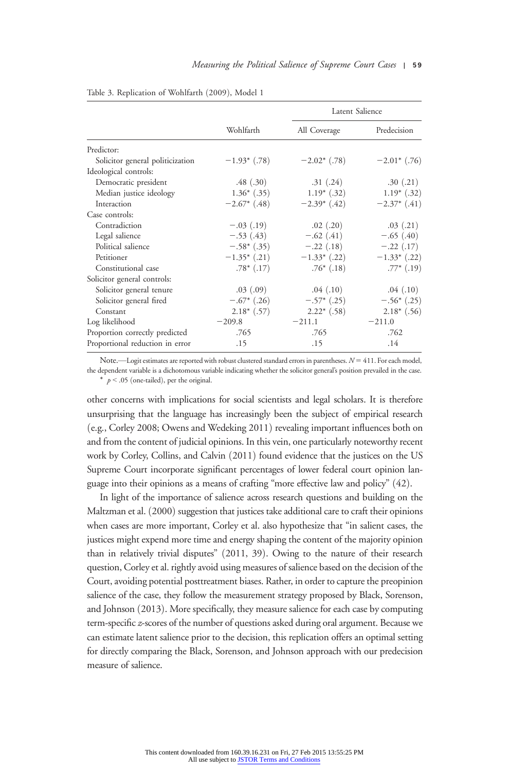|                                  |                 |                 | Latent Salience |
|----------------------------------|-----------------|-----------------|-----------------|
|                                  | Wohlfarth       | All Coverage    | Predecision     |
| Predictor:                       |                 |                 |                 |
| Solicitor general politicization | $-1.93$ * (.78) | $-2.02*(.78)$   | $-2.01$ * (.76) |
| Ideological controls:            |                 |                 |                 |
| Democratic president             | .48(.30)        | .31(.24)        | .30(.21)        |
| Median justice ideology          | $1.36*(0.35)$   | $1.19*(0.32)$   | $1.19*(.32)$    |
| Interaction                      | $-2.67*(0.48)$  | $-2.39*(0.42)$  | $-2.37*(0.41)$  |
| Case controls:                   |                 |                 |                 |
| Contradiction                    | $-.03$ $(.19)$  | .02(.20)        | .03(.21)        |
| Legal salience                   | $-.53(.43)$     | $-.62(.41)$     | $-.65(.40)$     |
| Political salience               | $-.58*(.35)$    | $-.22(.18)$     | $-.22(.17)$     |
| Petitioner                       | $-1.35$ * (.21) | $-1.33$ * (.22) | $-1.33$ * (.22) |
| Constitutional case              | $.78*(.17)$     | $.76*(.18)$     | $.77*(.19)$     |
| Solicitor general controls:      |                 |                 |                 |
| Solicitor general tenure         | .03(.09)        | .04(.10)        | .04(.10)        |
| Solicitor general fired          | $-.67*(.26)$    | $-.57$ * (.25)  | $-.56*(.25)$    |
| Constant                         | $2.18*(.57)$    | $2.22^*$ (.58)  | $2.18*(.56)$    |
| Log likelihood                   | $-209.8$        | $-211.1$        | $-211.0$        |
| Proportion correctly predicted   | .765            | .765            | .762            |
| Proportional reduction in error  | .15             | .15             | .14             |

Table 3. Replication of Wohlfarth (2009), Model 1

Note.—Logit estimates are reported with robust clustered standard errors in parentheses.  $N = 411$ . For each model, the dependent variable is a dichotomous variable indicating whether the solicitor general's position prevailed in the case.  $p < .05$  (one-tailed), per the original.

other concerns with implications for social scientists and legal scholars. It is therefore unsurprising that the language has increasingly been the subject of empirical research (e.g., Corley 2008; Owens and Wedeking 2011) revealing important influences both on and from the content of judicial opinions. In this vein, one particularly noteworthy recent work by Corley, Collins, and Calvin (2011) found evidence that the justices on the US Supreme Court incorporate significant percentages of lower federal court opinion language into their opinions as a means of crafting "more effective law and policy" (42).

In light of the importance of salience across research questions and building on the Maltzman et al. (2000) suggestion that justices take additional care to craft their opinions when cases are more important, Corley et al. also hypothesize that "in salient cases, the justices might expend more time and energy shaping the content of the majority opinion than in relatively trivial disputes"  $(2011, 39)$ . Owing to the nature of their research question, Corley et al. rightly avoid using measures of salience based on the decision of the Court, avoiding potential posttreatment biases. Rather, in order to capture the preopinion salience of the case, they follow the measurement strategy proposed by Black, Sorenson, and Johnson (2013). More specifically, they measure salience for each case by computing term-specific *z*-scores of the number of questions asked during oral argument. Because we can estimate latent salience prior to the decision, this replication offers an optimal setting for directly comparing the Black, Sorenson, and Johnson approach with our predecision measure of salience.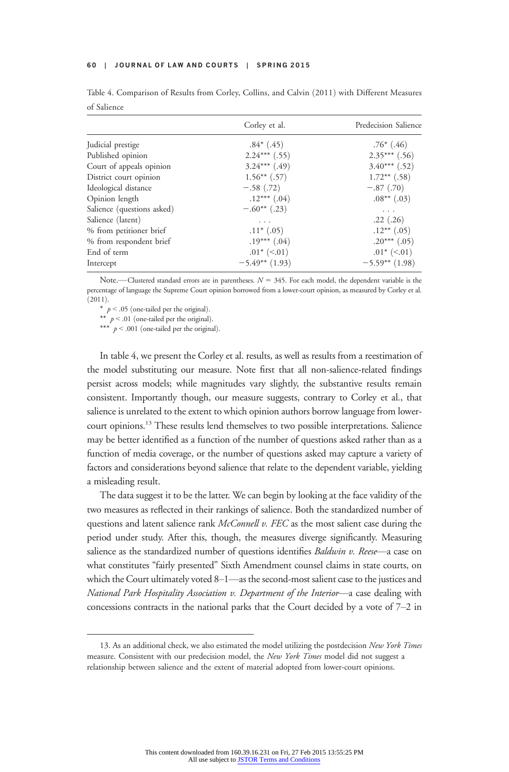|                            | Corley et al.    | Predecision Salience |
|----------------------------|------------------|----------------------|
| Judicial prestige          | $.84*(.45)$      | $.76*(.46)$          |
| Published opinion          | $2.24***$ (.55)  | $2.35***$ (.56)      |
| Court of appeals opinion   | $3.24***$ (.49)  | $3.40***$ (.52)      |
| District court opinion     | $1.56**$ (.57)   | $1.72**$ (.58)       |
| Ideological distance       | $-.58(.72)$      | $-.87(.70)$          |
| Opinion length             | $.12***$ $(.04)$ | $.08***$ $(.03)$     |
| Salience (questions asked) | $-.60**(.23)$    | $\cdots$             |
| Salience (latent)          | $\cdots$         | .22(.26)             |
| % from petitioner brief    | $.11*(.05)$      | $.12***$ $(.05)$     |
| % from respondent brief    | $.19***$ $(.04)$ | $.20***$ (.05)       |
| End of term                | $.01^*$ (<.01)   | $.01^*$ (<.01)       |
| Intercept                  | $-5.49**$ (1.93) | $-5.59**$ (1.98)     |

Table 4. Comparison of Results from Corley, Collins, and Calvin (2011) with Different Measures of Salience

Note.—Clustered standard errors are in parentheses.  $N = 345$ . For each model, the dependent variable is the percentage of language the Supreme Court opinion borrowed from a lower-court opinion, as measured by Corley et al.  $(2011)$ 

\*  $p < .05$  (one-tailed per the original).

 $p \leq .01$  (one-tailed per the original).

\*\*\*  $p < .001$  (one-tailed per the original).

In table 4, we present the Corley et al. results, as well as results from a reestimation of the model substituting our measure. Note first that all non-salience-related findings persist across models; while magnitudes vary slightly, the substantive results remain consistent. Importantly though, our measure suggests, contrary to Corley et al., that salience is unrelated to the extent to which opinion authors borrow language from lowercourt opinions.13 These results lend themselves to two possible interpretations. Salience may be better identified as a function of the number of questions asked rather than as a function of media coverage, or the number of questions asked may capture a variety of factors and considerations beyond salience that relate to the dependent variable, yielding a misleading result.

The data suggest it to be the latter. We can begin by looking at the face validity of the two measures as reflected in their rankings of salience. Both the standardized number of questions and latent salience rank McConnell v. FEC as the most salient case during the period under study. After this, though, the measures diverge significantly. Measuring salience as the standardized number of questions identifies  $Baldwin$  v. Reese—a case on what constitutes "fairly presented" Sixth Amendment counsel claims in state courts, on which the Court ultimately voted 8–1—as the second-most salient case to the justices and National Park Hospitality Association v. Department of the Interior—a case dealing with concessions contracts in the national parks that the Court decided by a vote of 7–2 in

<sup>13.</sup> As an additional check, we also estimated the model utilizing the postdecision New York Times measure. Consistent with our predecision model, the New York Times model did not suggest a relationship between salience and the extent of material adopted from lower-court opinions.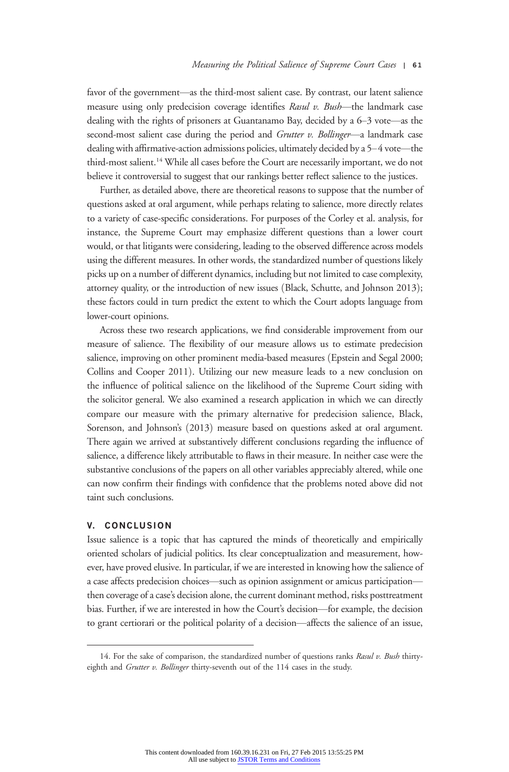favor of the government—as the third-most salient case. By contrast, our latent salience measure using only predecision coverage identifies Rasul v. Bush-the landmark case dealing with the rights of prisoners at Guantanamo Bay, decided by a 6–3 vote—as the second-most salient case during the period and Grutter v. Bollinger—a landmark case dealing with affirmative-action admissions policies, ultimately decided by a 5–4 vote—the third-most salient.<sup>14</sup> While all cases before the Court are necessarily important, we do not believe it controversial to suggest that our rankings better reflect salience to the justices.

Further, as detailed above, there are theoretical reasons to suppose that the number of questions asked at oral argument, while perhaps relating to salience, more directly relates to a variety of case-specific considerations. For purposes of the Corley et al. analysis, for instance, the Supreme Court may emphasize different questions than a lower court would, or that litigants were considering, leading to the observed difference across models using the different measures. In other words, the standardized number of questions likely picks up on a number of different dynamics, including but not limited to case complexity, attorney quality, or the introduction of new issues (Black, Schutte, and Johnson 2013); these factors could in turn predict the extent to which the Court adopts language from lower-court opinions.

Across these two research applications, we find considerable improvement from our measure of salience. The flexibility of our measure allows us to estimate predecision salience, improving on other prominent media-based measures (Epstein and Segal 2000; Collins and Cooper 2011). Utilizing our new measure leads to a new conclusion on the influence of political salience on the likelihood of the Supreme Court siding with the solicitor general. We also examined a research application in which we can directly compare our measure with the primary alternative for predecision salience, Black, Sorenson, and Johnson's (2013) measure based on questions asked at oral argument. There again we arrived at substantively different conclusions regarding the influence of salience, a difference likely attributable to flaws in their measure. In neither case were the substantive conclusions of the papers on all other variables appreciably altered, while one can now confirm their findings with confidence that the problems noted above did not taint such conclusions.

#### V. CONC LUS ION

Issue salience is a topic that has captured the minds of theoretically and empirically oriented scholars of judicial politics. Its clear conceptualization and measurement, however, have proved elusive. In particular, if we are interested in knowing how the salience of a case affects predecision choices—such as opinion assignment or amicus participation then coverage of a case's decision alone, the current dominant method, risks posttreatment bias. Further, if we are interested in how the Court's decision—for example, the decision to grant certiorari or the political polarity of a decision—affects the salience of an issue,

<sup>14.</sup> For the sake of comparison, the standardized number of questions ranks Rasul v. Bush thirtyeighth and *Grutter v. Bollinger* thirty-seventh out of the 114 cases in the study.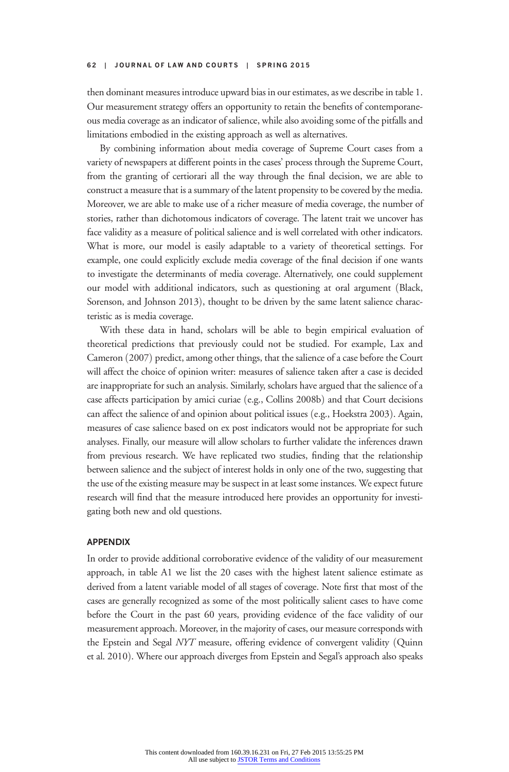then dominant measures introduce upward bias in our estimates, as we describe in table 1. Our measurement strategy offers an opportunity to retain the benefits of contemporaneous media coverage as an indicator of salience, while also avoiding some of the pitfalls and limitations embodied in the existing approach as well as alternatives.

By combining information about media coverage of Supreme Court cases from a variety of newspapers at different points in the cases' process through the Supreme Court, from the granting of certiorari all the way through the final decision, we are able to construct a measure that is a summary of the latent propensity to be covered by the media. Moreover, we are able to make use of a richer measure of media coverage, the number of stories, rather than dichotomous indicators of coverage. The latent trait we uncover has face validity as a measure of political salience and is well correlated with other indicators. What is more, our model is easily adaptable to a variety of theoretical settings. For example, one could explicitly exclude media coverage of the final decision if one wants to investigate the determinants of media coverage. Alternatively, one could supplement our model with additional indicators, such as questioning at oral argument (Black, Sorenson, and Johnson 2013), thought to be driven by the same latent salience characteristic as is media coverage.

With these data in hand, scholars will be able to begin empirical evaluation of theoretical predictions that previously could not be studied. For example, Lax and Cameron (2007) predict, among other things, that the salience of a case before the Court will affect the choice of opinion writer: measures of salience taken after a case is decided are inappropriate for such an analysis. Similarly, scholars have argued that the salience of a case affects participation by amici curiae (e.g., Collins 2008b) and that Court decisions can affect the salience of and opinion about political issues (e.g., Hoekstra 2003). Again, measures of case salience based on ex post indicators would not be appropriate for such analyses. Finally, our measure will allow scholars to further validate the inferences drawn from previous research. We have replicated two studies, finding that the relationship between salience and the subject of interest holds in only one of the two, suggesting that the use of the existing measure may be suspect in at least some instances. We expect future research will find that the measure introduced here provides an opportunity for investigating both new and old questions.

#### APPENDIX

In order to provide additional corroborative evidence of the validity of our measurement approach, in table A1 we list the 20 cases with the highest latent salience estimate as derived from a latent variable model of all stages of coverage. Note first that most of the cases are generally recognized as some of the most politically salient cases to have come before the Court in the past 60 years, providing evidence of the face validity of our measurement approach. Moreover, in the majority of cases, our measure corresponds with the Epstein and Segal NYT measure, offering evidence of convergent validity (Quinn et al. 2010). Where our approach diverges from Epstein and Segal's approach also speaks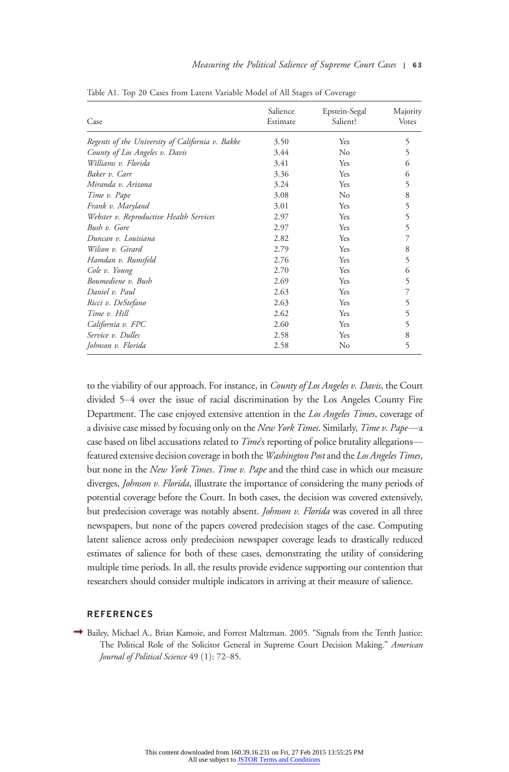| Case                                             | Salience<br>Estimate | Epstein-Segal<br>Salient? | Majority<br><b>Votes</b> |
|--------------------------------------------------|----------------------|---------------------------|--------------------------|
| Regents of the University of California v. Bakke | 3.50                 | Yes                       | 5                        |
| County of Los Angeles v. Davis                   | 3.44                 | No                        | 5                        |
| Williams v. Florida                              | 3.41                 | Yes                       | 6                        |
| Baker v. Carr                                    | 3.36                 | Yes                       | 6                        |
| Miranda v. Arizona                               | 3.24                 | Yes                       | 5                        |
| Time v. Pape                                     | 3.08                 | $\rm No$                  | 8                        |
| Frank v. Maryland                                | 3.01                 | Yes                       | 5                        |
| Webster v. Reproductive Health Services          | 2.97                 | Yes                       | 5                        |
| Bush v. Gore                                     | 2.97                 | Yes                       | 5                        |
| Duncan v. Louisiana                              | 2.82                 | Yes                       | 7                        |
| Wilson v. Girard                                 | 2.79                 | Yes                       | 8                        |
| Hamdan v. Rumsfeld                               | 2.76                 | Yes                       | 5                        |
| Cole v. Young                                    | 2.70                 | Yes                       | 6                        |
| Boumediene v. Bush                               | 2.69                 | Yes                       | 5                        |
| Daniel v. Paul                                   | 2.63                 | Yes                       | 7                        |
| Ricci v. DeStefano                               | 2.63                 | Yes                       | 5                        |
| Time v. Hill                                     | 2.62                 | Yes                       | 5                        |
| California v. FPC                                | 2.60                 | Yes                       | 5                        |
| Service v. Dulles                                | 2.58                 | Yes                       | 8                        |
| Johnson v. Florida                               | 2.58                 | No                        | 5                        |

Table A1. Top 20 Cases from Latent Variable Model of All Stages of Coverage

to the viability of our approach. For instance, in County of Los Angeles v. Davis, the Court divided 5–4 over the issue of racial discrimination by the Los Angeles County Fire Department. The case enjoyed extensive attention in the Los Angeles Times, coverage of a divisive case missed by focusing only on the New York Times. Similarly, Time v. Pape—a case based on libel accusations related to *Time's* reporting of police brutality allegations featured extensive decision coverage in both the Washington Post and the Los Angeles Times, but none in the New York Times. Time v. Pape and the third case in which our measure diverges, Johnson v. Florida, illustrate the importance of considering the many periods of potential coverage before the Court. In both cases, the decision was covered extensively, but predecision coverage was notably absent. Johnson v. Florida was covered in all three newspapers, but none of the papers covered predecision stages of the case. Computing latent salience across only predecision newspaper coverage leads to drastically reduced estimates of salience for both of these cases, demonstrating the utility of considering multiple time periods. In all, the results provide evidence supporting our contention that researchers should consider multiple indicators in arriving at their measure of salience.

## **REFERENCES**

Bailey, Michael A., Brian Kamoie, and Forrest Maltzman. 2005. "Signals from the Tenth Justice: The Political Role of the Solicitor General in Supreme Court Decision Making." American Journal of Political Science 49 (1): 72–85.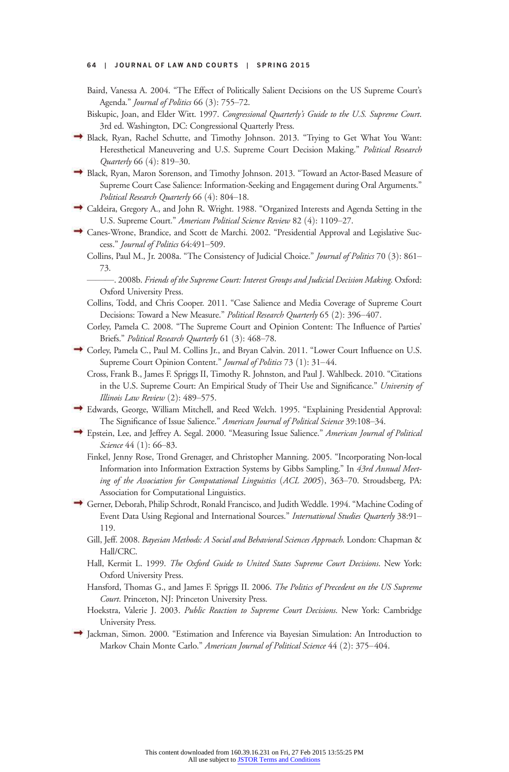- Baird, Vanessa A. 2004. "The Effect of Politically Salient Decisions on the US Supreme Court's Agenda." *Journal of Politics* 66 (3): 755–72.
- Biskupic, Joan, and Elder Witt. 1997. Congressional Quarterly's Guide to the U.S. Supreme Court. 3rd ed. Washington, DC: Congressional Quarterly Press.
- Black, Ryan, Rachel Schutte, and Timothy Johnson. 2013. "Trying to Get What You Want: Heresthetical Maneuvering and U.S. Supreme Court Decision Making." Political Research Quarterly  $66 (4): 819-30.$
- Black, Ryan, Maron Sorenson, and Timothy Johnson. 2013. "Toward an Actor-Based Measure of Supreme Court Case Salience: Information-Seeking and Engagement during Oral Arguments." Political Research Quarterly 66 (4): 804-18.
- Caldeira, Gregory A., and John R. Wright. 1988. "Organized Interests and Agenda Setting in the U.S. Supreme Court." American Political Science Review 82 (4): 1109-27.
- Canes-Wrone, Brandice, and Scott de Marchi. 2002. "Presidential Approval and Legislative Success." Journal of Politics 64:491-509.
	- Collins, Paul M., Jr. 2008a. "The Consistency of Judicial Choice." Journal of Politics 70 (3): 861-73.
		- -. 2008b. Friends of the Supreme Court: Interest Groups and Judicial Decision Making. Oxford: Oxford University Press.
	- Collins, Todd, and Chris Cooper. 2011. "Case Salience and Media Coverage of Supreme Court Decisions: Toward a New Measure." Political Research Quarterly 65 (2): 396-407.
	- Corley, Pamela C. 2008. "The Supreme Court and Opinion Content: The Influence of Parties' Briefs." Political Research Quarterly 61 (3): 468-78.
- Corley, Pamela C., Paul M. Collins Jr., and Bryan Calvin. 2011. "Lower Court Influence on U.S. Supreme Court Opinion Content." Journal of Politics 73 (1): 31-44.
	- Cross, Frank B., James F. Spriggs II, Timothy R. Johnston, and Paul J. Wahlbeck. 2010. "Citations in the U.S. Supreme Court: An Empirical Study of Their Use and Significance." University of Illinois Law Review (2): 489-575.
- Edwards, George, William Mitchell, and Reed Welch. 1995. "Explaining Presidential Approval: The Significance of Issue Salience." American Journal of Political Science 39:108-34.
- Epstein, Lee, and Jeffrey A. Segal. 2000. "Measuring Issue Salience." American Journal of Political Science 44 (1): 66–83.
	- Finkel, Jenny Rose, Trond Grenager, and Christopher Manning. 2005. "Incorporating Non-local Information into Information Extraction Systems by Gibbs Sampling." In 43rd Annual Meeting of the Association for Computational Linguistics (ACL 2005), 363-70. Stroudsberg, PA: Association for Computational Linguistics.
- Gerner, Deborah, Philip Schrodt, Ronald Francisco, and Judith Weddle. 1994. "Machine Coding of Event Data Using Regional and International Sources." International Studies Quarterly 38:91-119.
	- Gill, Jeff. 2008. Bayesian Methods: A Social and Behavioral Sciences Approach. London: Chapman & Hall/CRC.
	- Hall, Kermit L. 1999. The Oxford Guide to United States Supreme Court Decisions. New York: Oxford University Press.
	- Hansford, Thomas G., and James F. Spriggs II. 2006. The Politics of Precedent on the US Supreme Court. Princeton, NJ: Princeton University Press.
	- Hoekstra, Valerie J. 2003. Public Reaction to Supreme Court Decisions. New York: Cambridge University Press.
- Jackman, Simon. 2000. "Estimation and Inference via Bayesian Simulation: An Introduction to Markov Chain Monte Carlo." American Journal of Political Science 44 (2): 375-404.